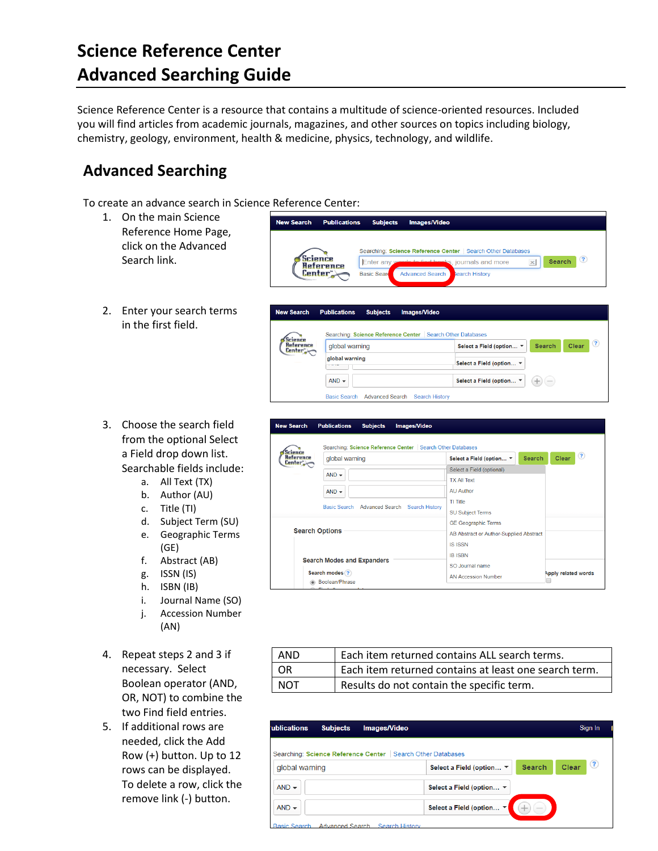## **Science Reference Center Advanced Searching Guide**

Science Reference Center is a resource that contains a multitude of science-oriented resources. Included you will find articles from academic journals, magazines, and other sources on topics including biology, chemistry, geology, environment, health & medicine, physics, technology, and wildlife.

## **Advanced Searching**

To create an advance search in Science Reference Center:

- 1. On the main Science Reference Home Page, click on the Advanced Search link.
- 2. Enter your search terms in the first field.
- 3. Choose the search field from the optional Select a Field drop down list. Searchable fields include:
	- a. All Text (TX)
	- b. Author (AU)
	- c. Title (TI)
	- d. Subject Term (SU)
	- e. Geographic Terms (GE)
	- f. Abstract (AB)
	- g. ISSN (IS)
	- h. ISBN (IB)
	- i. Journal Name (SO)
	- j. Accession Number (AN)
- 4. Repeat steps 2 and 3 if necessary. Select Boolean operator (AND, OR, NOT) to combine the two Find field entries.
- 5. If additional rows are needed, click the Add Row (+) button. Up to 12 rows can be displayed. To delete a row, click the remove link (-) button.

| <b>New Search</b><br><b>Publications</b> | <b>Subjects</b><br><b>Images/Video</b>                                                                                                                                                               |                      |
|------------------------------------------|------------------------------------------------------------------------------------------------------------------------------------------------------------------------------------------------------|----------------------|
| science<br>Reference<br>Center"          | Searching: Science Reference Center   Search Other Databases<br>$\pmb{\times}$<br>Enter any words to find books, journals and more<br><b>Basic Seard</b><br><b>Advanced Search</b><br>search History | (2)<br><b>Search</b> |

| <b>New Search</b>               | <b>Publications</b><br><b>Subjects</b><br><b>Images/Video</b> |                                                                  |
|---------------------------------|---------------------------------------------------------------|------------------------------------------------------------------|
|                                 | Searching: Science Reference Center   Search Other Databases  |                                                                  |
| Science<br>Reference<br>Center" | global warning                                                | $\left( 2\right)$<br>Clear<br>Search<br>Select a Field (option ▼ |
|                                 | global warning<br>.                                           | Select a Field (option ▼                                         |
|                                 | $AND -$                                                       | Select a Field (option ▼<br>$\overline{\phantom{a}}$<br>$\pm$    |
|                                 | Basic Search Advanced Search<br><b>Search History</b>         |                                                                  |

| <b>New Search</b>                                                                              | <b>Publications</b><br><b>Subjects</b><br><b>Images/Video</b> |                                           |                     |
|------------------------------------------------------------------------------------------------|---------------------------------------------------------------|-------------------------------------------|---------------------|
| rience                                                                                         | Searching: Science Reference Center   Search Other Databases  |                                           | $\circled{?}$       |
| Reference<br>Center"                                                                           | global warning                                                | <b>Search</b><br>Select a Field (option ▼ | Clear               |
|                                                                                                | $AND -$                                                       | Select a Field (optional)                 |                     |
|                                                                                                |                                                               | <b>TX All Text</b>                        |                     |
|                                                                                                | $AND -$                                                       | <b>AU Author</b>                          |                     |
| Basic Search Advanced Search Search History                                                    |                                                               | TI Title                                  |                     |
|                                                                                                |                                                               | <b>SU Subject Terms</b>                   |                     |
| <b>Search Options</b><br><b>Search Modes and Expanders</b><br>Search modes ?<br>Boolean/Phrase |                                                               | <b>GE Geographic Terms</b>                |                     |
|                                                                                                |                                                               | AB Abstract or Author-Supplied Abstract   |                     |
|                                                                                                |                                                               | <b>IS ISSN</b>                            |                     |
|                                                                                                |                                                               | <b>IB ISBN</b>                            |                     |
|                                                                                                |                                                               | SO Journal name                           |                     |
|                                                                                                |                                                               | <b>AN Accession Number</b>                | Apply related words |
|                                                                                                | Find all muse annuals to res-                                 |                                           |                     |

| AND        | Each item returned contains ALL search terms.         |
|------------|-------------------------------------------------------|
| OR         | Each item returned contains at least one search term. |
| <b>NOT</b> | Results do not contain the specific term.             |

| <b>ublications</b><br><b>Subjects</b>                        | Sign In<br><b>Images/Video</b>                                           |
|--------------------------------------------------------------|--------------------------------------------------------------------------|
| Searching: Science Reference Center   Search Other Databases |                                                                          |
| global warning                                               | $\left( 3 \right)$<br>Clear<br><b>Search</b><br>Select a Field (option ▼ |
| $AND -$                                                      | Select a Field (option ▼                                                 |
| $AND -$                                                      | Select a Field (option ▼<br>$(-)$<br>$^{+}$                              |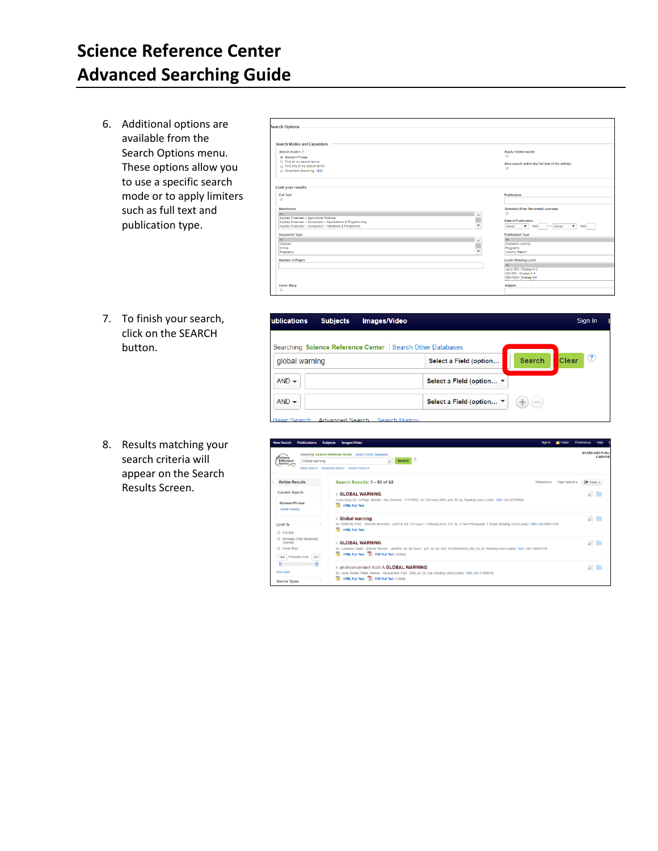## **Science Reference Center Advanced Searching Guide**

6. Additional options are available from the Search Options menu. These options allow you to use a specific search mode or to apply limiters such as full text and publication type.

| <b>Search Options</b>                                                                                   |                                                                |
|---------------------------------------------------------------------------------------------------------|----------------------------------------------------------------|
| <b>Search Modes and Expanders</b>                                                                       |                                                                |
| Search modes (?)                                                                                        | Apply related words                                            |
| (ii) Boolean/Phrase                                                                                     | 69                                                             |
| @ Find all my search terms                                                                              | Also search within the full text of the articles               |
| A Find any of my search terms                                                                           | $\Box$                                                         |
| SmartText Searching Hint                                                                                |                                                                |
|                                                                                                         |                                                                |
| <b>Limit your results</b>                                                                               |                                                                |
| <b>Full Text</b>                                                                                        | Publication                                                    |
| $\Box$                                                                                                  |                                                                |
| <b>Benchmark</b>                                                                                        | <b>Scholarly (Peer Reviewed) Journals</b>                      |
| All                                                                                                     | 8                                                              |
| Applied Sciences -- Agricultural Science<br>Applied Sciences -- Computers -- Applications & Programming | Date of Publication                                            |
| Applied Sciences -- Computers -- Hardware & Peripherals                                                 | ٠<br>$\mathbf{v}$<br>$-$ Month<br>۷.<br>Year<br>Month<br>Year: |
|                                                                                                         |                                                                |
| <b>Document Type</b>                                                                                    | <b>Publication Type</b>                                        |
| All                                                                                                     | All                                                            |
| Abstract                                                                                                | Academic Journal                                               |
| Article                                                                                                 | Biography<br>÷<br>Country Report                               |
| Biography                                                                                               |                                                                |
| <b>Number of Pages</b>                                                                                  | <b>Lexile Reading Level</b>                                    |
|                                                                                                         | ΔII                                                            |
|                                                                                                         | Up to 500 / Grades K-2                                         |
|                                                                                                         | 300-800 / Grades 3-4                                           |
|                                                                                                         | 550-1000 / Grades 5-6<br><b>AND CONTRACTOR</b>                 |
| Cover Story                                                                                             | Subject                                                        |
| 0                                                                                                       |                                                                |

7. To finish your search, click on the SEARCH button.

| Searching: Science Reference Center   Search Other Databases |                          |               |                     |
|--------------------------------------------------------------|--------------------------|---------------|---------------------|
| global warning                                               | Select a Field (option   | <b>Search</b> | (2)<br><b>Clear</b> |
| $AND -$                                                      | Select a Field (option ▼ |               |                     |
| $AND -$                                                      | Select a Field (option ▼ | $+$ (-        |                     |

8. Results matching your search criteria will appear on the Search Results Screen.

| <b>Publications</b><br>ew Search                                                             | Images/Video<br><b>Subjects</b><br><b>Exister</b><br><b>Sign In</b>                                                                                                                                                           | <b>Preferences</b><br>Help               |  |
|----------------------------------------------------------------------------------------------|-------------------------------------------------------------------------------------------------------------------------------------------------------------------------------------------------------------------------------|------------------------------------------|--|
| Science<br>Reference<br>Center<br>Global warning                                             | Searching: Science Reference Center   Search Other Databases<br>Search ?<br>$\times$<br>Basic Search Advanced Search Search History >                                                                                         | <b>ECARD AND PUBL</b><br><b>LIBRARIE</b> |  |
| <b>Refine Results</b>                                                                        | Search Results: 1 - 10 of 62<br>Page Options -<br>Relevance =                                                                                                                                                                 | <b>E</b> Share v                         |  |
| <b>Current Search</b><br>Boolean/Phrase:<br>Global warning                                   | <b>GLOBAL WARNING</b><br>(cover story) By: Le Page, Michael . New Scientist , 11/17/2012, Vol. 216 Issue 2891, p34, 39, 6p; Reading Level (Lexile): 1280; (AN 83703050)<br><b>HTML Full Text</b>                              | $\circ$ $\circ$                          |  |
| <b>Limit To</b><br><b>El Full Text</b>                                                       | 2. Global warning.<br>By: BENDER, ERIC. Scientific American, Jul2014, Vol. 311 Issue 1, Following ps18, s19, 2p, 1 Color Photograph, 1 Graph; Reading Level (Lexile): 1400; (AN 96651478)<br><b>HTML Full Text</b>            | $\circ$ $\circ$                          |  |
| Scholarly (Peer Reviewed)<br><b>Journals</b><br>Cover Story<br>1995 Publication Date<br>2017 | 3. GLOBAL WARNING.<br>By: Colaianne, Blake . Science Teacher . Jan2015, Vol. 82 Issue 1, p37, 42, 6p; DOI: 10.2505/4/tst15_082_01_37; Reading Level (Lexile): 1320; (AN 100092419)<br>HTML Full Text T. PDF Full Text (328KB) | $\circ$ $\circ$                          |  |
| F<br><b>Show More</b><br><b>Source Types</b>                                                 | 4. an inconvenient truth A GLOBAL WARNING.<br>By: Lewis, Robert: Fildes, Andrew . Inconvenient Truth , 2006, p1, 24, 24p; Reading Level (Lexile): 1360; (AN 31888676)<br>HTML Full Text   PDF Full Text (1.8MB)               | $\circ$ $\circ$                          |  |